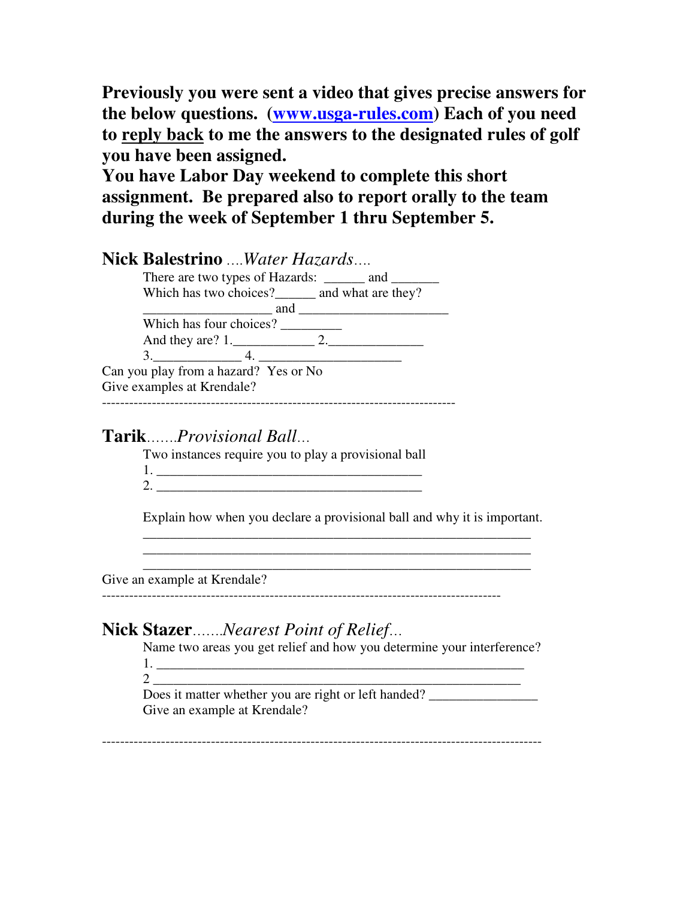**Previously you were sent a video that gives precise answers for the below questions. (www.usga-rules.com) Each of you need to reply back to me the answers to the designated rules of golf you have been assigned.**

**You have Labor Day weekend to complete this short assignment. Be prepared also to report orally to the team during the week of September 1 thru September 5.**

| <b>Nick Balestrino</b> <i>Water Hazards</i>       |
|---------------------------------------------------|
| There are two types of Hazards: and               |
| Which has two choices? _______ and what are they? |
| and                                               |
| Which has four choices?                           |
|                                                   |
| 3.4.                                              |
| Can you play from a hazard? Yes or No             |
| Give examples at Krendale?                        |
|                                                   |

## **Tarik**…….*Provisional Ball*…

Two instances require you to play a provisional ball

| ↗ |  |
|---|--|

Explain how when you declare a provisional ball and why it is important.

\_\_\_\_\_\_\_\_\_\_\_\_\_\_\_\_\_\_\_\_\_\_\_\_\_\_\_\_\_\_\_\_\_\_\_\_\_\_\_\_\_\_\_\_\_\_\_\_\_\_\_\_\_\_\_\_\_ \_\_\_\_\_\_\_\_\_\_\_\_\_\_\_\_\_\_\_\_\_\_\_\_\_\_\_\_\_\_\_\_\_\_\_\_\_\_\_\_\_\_\_\_\_\_\_\_\_\_\_\_\_\_\_\_\_ \_\_\_\_\_\_\_\_\_\_\_\_\_\_\_\_\_\_\_\_\_\_\_\_\_\_\_\_\_\_\_\_\_\_\_\_\_\_\_\_\_\_\_\_\_\_\_\_\_\_\_\_\_\_\_\_\_

Give an example at Krendale?

----------------------------------------------------------------------------------------

# **Nick Stazer**…….*Nearest Point of Relief*…

Name two areas you get relief and how you determine your interference? 1. \_\_\_\_\_\_\_\_\_\_\_\_\_\_\_\_\_\_\_\_\_\_\_\_\_\_\_\_\_\_\_\_\_\_\_\_\_\_\_\_\_\_\_\_\_\_\_\_\_\_\_\_\_\_

2 \_\_\_\_\_\_\_\_\_\_\_\_\_\_\_\_\_\_\_\_\_\_\_\_\_\_\_\_\_\_\_\_\_\_\_\_\_\_\_\_\_\_\_\_\_\_\_\_\_\_\_\_\_\_ Does it matter whether you are right or left handed? Give an example at Krendale?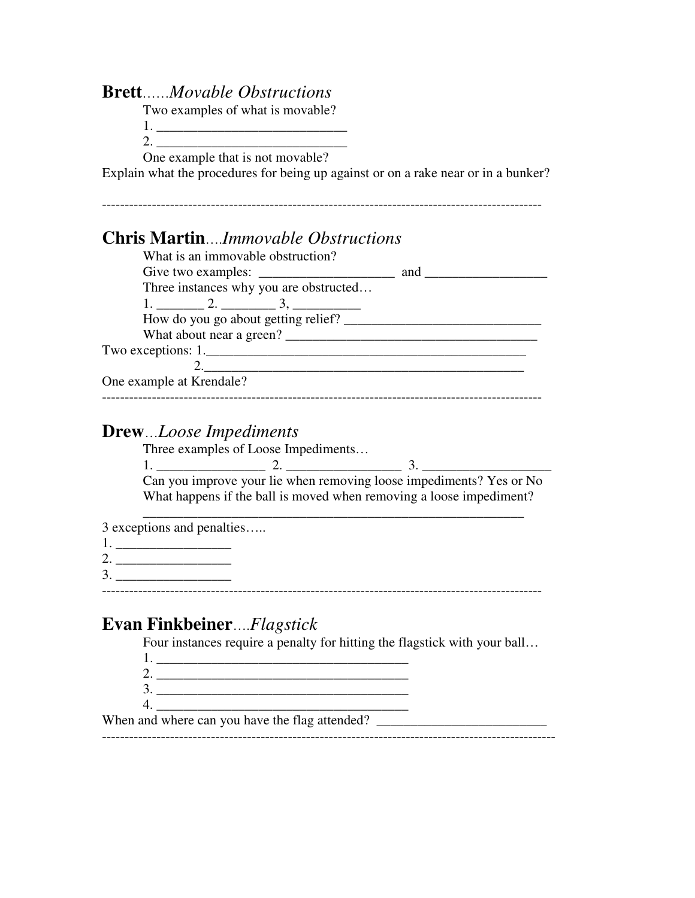#### **Brett**……*Movable Obstructions*

Two examples of what is movable?

1. \_\_\_\_\_\_\_\_\_\_\_\_\_\_\_\_\_\_\_\_\_\_\_\_\_\_\_\_

 $2.$ One example that is not movable?

Explain what the procedures for being up against or on a rake near or in a bunker?

| <b>Chris MartinImmovable Obstructions</b>                                                                                                                          |  |
|--------------------------------------------------------------------------------------------------------------------------------------------------------------------|--|
| What is an immovable obstruction?                                                                                                                                  |  |
| Give two examples: $\frac{1}{\sqrt{1-\frac{1}{2}} \cdot \frac{1}{\sqrt{1-\frac{1}{2}}}}$ and $\frac{1}{\sqrt{1-\frac{1}{2}} \cdot \frac{1}{\sqrt{1-\frac{1}{2}}}}$ |  |
| Three instances why you are obstructed                                                                                                                             |  |
|                                                                                                                                                                    |  |
| How do you go about getting relief?                                                                                                                                |  |
| What about near a green?                                                                                                                                           |  |
| Two exceptions: 1.                                                                                                                                                 |  |
| 2. $\qquad \qquad$                                                                                                                                                 |  |
| One example at Krendale?                                                                                                                                           |  |
|                                                                                                                                                                    |  |

#### **Drew**…*Loose Impediments*

Three examples of Loose Impediments…

1. \_\_\_\_\_\_\_\_\_\_\_\_\_\_\_\_ 2. \_\_\_\_\_\_\_\_\_\_\_\_\_\_\_\_\_ 3. \_\_\_\_\_\_\_\_\_\_\_\_\_\_\_\_\_\_\_ Can you improve your lie when removing loose impediments? Yes or No What happens if the ball is moved when removing a loose impediment?

\_\_\_\_\_\_\_\_\_\_\_\_\_\_\_\_\_\_\_\_\_\_\_\_\_\_\_\_\_\_\_\_\_\_\_\_\_\_\_\_\_\_\_\_\_\_\_\_\_\_\_\_\_\_\_\_

3 exceptions and penalties…..

- 1. \_\_\_\_\_\_\_\_\_\_\_\_\_\_\_\_\_
- 2. \_\_\_\_\_\_\_\_\_\_\_\_\_\_\_\_\_
- 3. \_\_\_\_\_\_\_\_\_\_\_\_\_\_\_\_\_ -------------------------------------------------------------------------------------------------

# **Evan Finkbeiner**….*Flagstick*

Four instances require a penalty for hitting the flagstick with your ball…

- 1. \_\_\_\_\_\_\_\_\_\_\_\_\_\_\_\_\_\_\_\_\_\_\_\_\_\_\_\_\_\_\_\_\_\_\_\_\_ 2. \_\_\_\_\_\_\_\_\_\_\_\_\_\_\_\_\_\_\_\_\_\_\_\_\_\_\_\_\_\_\_\_\_\_\_\_\_
- 3. \_\_\_\_\_\_\_\_\_\_\_\_\_\_\_\_\_\_\_\_\_\_\_\_\_\_\_\_\_\_\_\_\_\_\_\_\_
- 4. \_\_\_\_\_\_\_\_\_\_\_\_\_\_\_\_\_\_\_\_\_\_\_\_\_\_\_\_\_\_\_\_\_\_\_\_\_

When and where can you have the flag attended? ----------------------------------------------------------------------------------------------------